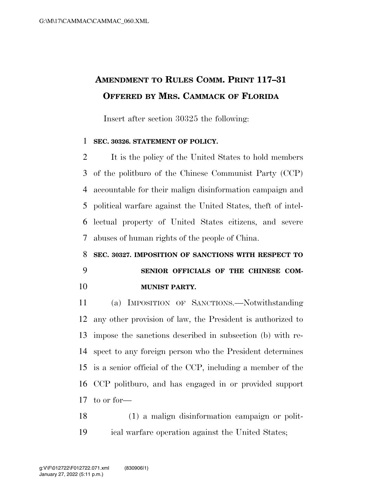## **AMENDMENT TO RULES COMM. PRINT 117–31 OFFERED BY MRS. CAMMACK OF FLORIDA**

Insert after section 30325 the following:

## **SEC. 30326. STATEMENT OF POLICY.**

 It is the policy of the United States to hold members of the politburo of the Chinese Communist Party (CCP) accountable for their malign disinformation campaign and political warfare against the United States, theft of intel- lectual property of United States citizens, and severe abuses of human rights of the people of China.

## **SEC. 30327. IMPOSITION OF SANCTIONS WITH RESPECT TO SENIOR OFFICIALS OF THE CHINESE COM-MUNIST PARTY.**

 (a) IMPOSITION OF SANCTIONS.—Notwithstanding any other provision of law, the President is authorized to impose the sanctions described in subsection (b) with re- spect to any foreign person who the President determines is a senior official of the CCP, including a member of the CCP politburo, and has engaged in or provided support to or for—

 (1) a malign disinformation campaign or polit-ical warfare operation against the United States;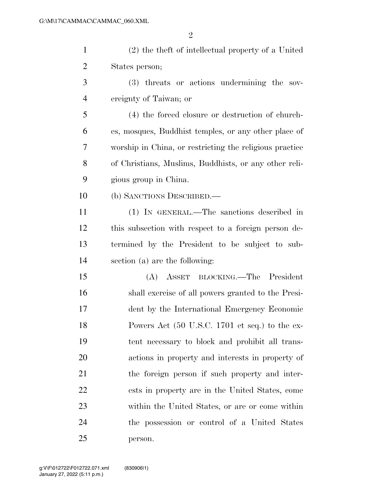| $\mathbf{1}$   | (2) the theft of intellectual property of a United      |
|----------------|---------------------------------------------------------|
| $\overline{2}$ | States person;                                          |
| 3              | (3) threats or actions undermining the sov-             |
| $\overline{4}$ | ereignty of Taiwan; or                                  |
| 5              | (4) the forced closure or destruction of church-        |
| 6              | es, mosques, Buddhist temples, or any other place of    |
| 7              | worship in China, or restricting the religious practice |
| 8              | of Christians, Muslims, Buddhists, or any other reli-   |
| 9              | gious group in China.                                   |
| 10             | (b) SANCTIONS DESCRIBED.                                |
| 11             | (1) IN GENERAL.—The sanctions described in              |
| 12             | this subsection with respect to a foreign person de-    |
| 13             | termined by the President to be subject to sub-         |
| 14             | section (a) are the following:                          |
| 15             | ASSET BLOCKING.—The President<br>(A)                    |
| 16             | shall exercise of all powers granted to the Presi-      |
| 17             | dent by the International Emergency Economic            |
| 18             | Powers Act (50 U.S.C. 1701 et seq.) to the ex-          |
| 19             | tent necessary to block and prohibit all trans-         |
| 20             | actions in property and interests in property of        |
| 21             | the foreign person if such property and inter-          |
| 22             | ests in property are in the United States, come         |
| 23             | within the United States, or are or come within         |
| 24             | the possession or control of a United States            |
| 25             | person.                                                 |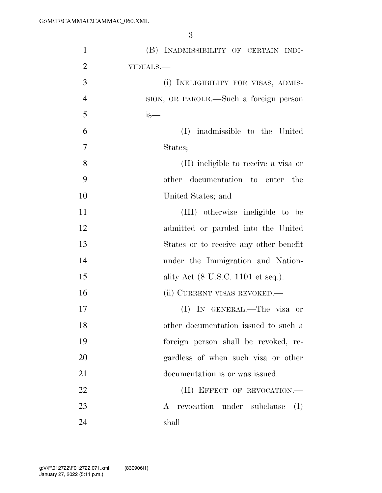| $\mathbf{1}$   | (B) INADMISSIBILITY OF CERTAIN INDI-   |
|----------------|----------------------------------------|
| $\overline{2}$ | VIDUALS.-                              |
| 3              | (i) INELIGIBILITY FOR VISAS, ADMIS-    |
| $\overline{4}$ | SION, OR PAROLE.—Such a foreign person |
| 5              | $is-$                                  |
| 6              | inadmissible to the United<br>(I)      |
| $\overline{7}$ | States;                                |
| 8              | (II) ineligible to receive a visa or   |
| 9              | other documentation to enter the       |
| 10             | United States; and                     |
| 11             | (III) otherwise ineligible to be       |
| 12             | admitted or paroled into the United    |
| 13             | States or to receive any other benefit |
| 14             | under the Immigration and Nation-      |
| 15             | ality Act (8 U.S.C. 1101 et seq.).     |
| 16             | (ii) CURRENT VISAS REVOKED.—           |
| 17             | (I) IN GENERAL.—The visa or            |
| 18             | other documentation issued to such a   |
| 19             | foreign person shall be revoked, re-   |
| 20             | gardless of when such visa or other    |
| 21             | documentation is or was issued.        |
| 22             | (II) EFFECT OF REVOCATION.-            |
| 23             | A revocation under subclause<br>(I)    |
| 24             | shall—                                 |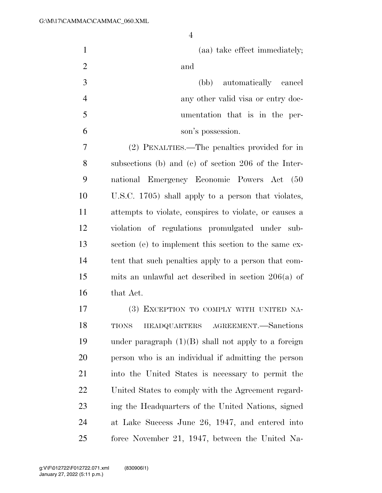| $\mathbf{1}$   | (aa) take effect immediately;                          |
|----------------|--------------------------------------------------------|
| $\overline{2}$ | and                                                    |
| 3              | (bb) automatically cancel                              |
| $\overline{4}$ | any other valid visa or entry doc-                     |
| 5              | umentation that is in the per-                         |
| 6              | son's possession.                                      |
| 7              | (2) PENALTIES.—The penalties provided for in           |
| 8              | subsections (b) and (c) of section $206$ of the Inter- |
| 9              | national Emergency Economic Powers Act (50             |
| 10             | U.S.C. 1705) shall apply to a person that violates,    |
| 11             | attempts to violate, conspires to violate, or causes a |
| 12             | violation of regulations promulgated under sub-        |
| 13             | section (e) to implement this section to the same ex-  |
| 14             | tent that such penalties apply to a person that com-   |
| 15             | mits an unlawful act described in section $206(a)$ of  |
| 16             | that Act.                                              |
| 17             | (3) EXCEPTION TO COMPLY WITH UNITED NA-                |
| 18             | AGREEMENT.—Sanctions<br>HEADQUARTERS<br><b>TIONS</b>   |
| 19             | under paragraph $(1)(B)$ shall not apply to a foreign  |
| 20             | person who is an individual if admitting the person    |
| 21             | into the United States is necessary to permit the      |
| 22             | United States to comply with the Agreement regard-     |
| 23             | ing the Headquarters of the United Nations, signed     |
| 24             | at Lake Success June 26, 1947, and entered into        |
| 25             | force November 21, 1947, between the United Na-        |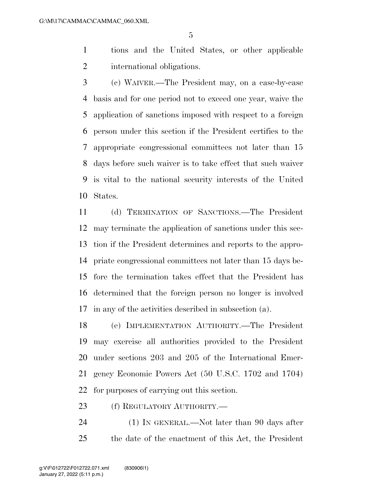tions and the United States, or other applicable international obligations.

 (c) WAIVER.—The President may, on a case-by-case basis and for one period not to exceed one year, waive the application of sanctions imposed with respect to a foreign person under this section if the President certifies to the appropriate congressional committees not later than 15 days before such waiver is to take effect that such waiver is vital to the national security interests of the United States.

 (d) TERMINATION OF SANCTIONS.—The President may terminate the application of sanctions under this sec- tion if the President determines and reports to the appro- priate congressional committees not later than 15 days be- fore the termination takes effect that the President has determined that the foreign person no longer is involved in any of the activities described in subsection (a).

 (e) IMPLEMENTATION AUTHORITY.—The President may exercise all authorities provided to the President under sections 203 and 205 of the International Emer- gency Economic Powers Act (50 U.S.C. 1702 and 1704) for purposes of carrying out this section.

23 (f) REGULATORY AUTHORITY.—

24 (1) IN GENERAL.—Not later than 90 days after the date of the enactment of this Act, the President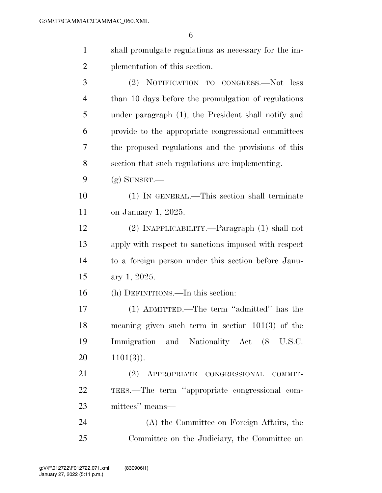| $\mathbf{1}$   | shall promulgate regulations as necessary for the im- |
|----------------|-------------------------------------------------------|
| $\overline{2}$ | plementation of this section.                         |
| 3              | (2) NOTIFICATION TO CONGRESS.—Not less                |
| $\overline{4}$ | than 10 days before the promulgation of regulations   |
| 5              | under paragraph (1), the President shall notify and   |
| 6              | provide to the appropriate congressional committees   |
| 7              | the proposed regulations and the provisions of this   |
| 8              | section that such regulations are implementing.       |
| 9              | $(g)$ SUNSET.—                                        |
| 10             | (1) IN GENERAL.—This section shall terminate          |
| 11             | on January 1, 2025.                                   |
| 12             | (2) INAPPLICABILITY.—Paragraph (1) shall not          |
| 13             | apply with respect to sanctions imposed with respect  |
| 14             | to a foreign person under this section before Janu-   |
| 15             | ary 1, 2025.                                          |
| 16             | (h) DEFINITIONS.—In this section:                     |
| 17             | (1) ADMITTED.—The term "admitted" has the             |
| 18             | meaning given such term in section $101(3)$ of the    |
| 19             | Immigration and Nationality Act (8 U.S.C.             |
| 20             | $1101(3)$ .                                           |
| 21             | (2) APPROPRIATE CONGRESSIONAL COMMIT-                 |
| 22             | TEES.—The term "appropriate congressional com-        |
| 23             | mittees" means—                                       |
| 24             | (A) the Committee on Foreign Affairs, the             |
| 25             | Committee on the Judiciary, the Committee on          |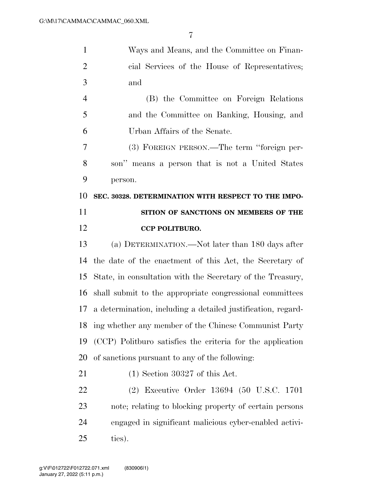| $\mathbf{1}$   | Ways and Means, and the Committee on Finan-                  |
|----------------|--------------------------------------------------------------|
| $\overline{2}$ | cial Services of the House of Representatives;               |
| 3              | and                                                          |
| $\overline{4}$ | (B) the Committee on Foreign Relations                       |
| 5              | and the Committee on Banking, Housing, and                   |
| 6              | Urban Affairs of the Senate.                                 |
| 7              | (3) FOREIGN PERSON.—The term "foreign per-                   |
| 8              | son" means a person that is not a United States              |
| 9              | person.                                                      |
| 10             | SEC. 30328. DETERMINATION WITH RESPECT TO THE IMPO-          |
| 11             | SITION OF SANCTIONS ON MEMBERS OF THE                        |
| 12             | <b>CCP POLITBURO.</b>                                        |
| 13             | (a) DETERMINATION.—Not later than 180 days after             |
| 14             | the date of the enactment of this Act, the Secretary of      |
| 15             | State, in consultation with the Secretary of the Treasury,   |
| 16             | shall submit to the appropriate congressional committees     |
| 17             | a determination, including a detailed justification, regard- |
| 18             | ing whether any member of the Chinese Communist Party        |
| 19             | (CCP) Politburo satisfies the criteria for the application   |
| 20             | of sanctions pursuant to any of the following:               |
| 21             | $(1)$ Section 30327 of this Act.                             |
| 22             | (2) Executive Order 13694 (50 U.S.C. 1701                    |
| 23             | note; relating to blocking property of certain persons       |
| 24             | engaged in significant malicious cyber-enabled activi-       |
| 25             | ties).                                                       |
|                |                                                              |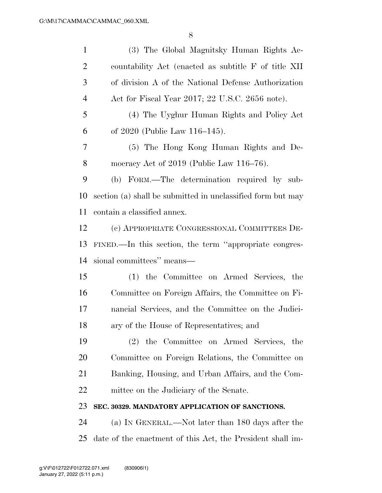| $\mathbf{1}$   | (3) The Global Magnitsky Human Rights Ac-                   |
|----------------|-------------------------------------------------------------|
| $\overline{2}$ | countability Act (enacted as subtitle F of title XII        |
| 3              | of division A of the National Defense Authorization         |
| $\overline{4}$ | Act for Fiscal Year 2017; 22 U.S.C. 2656 note).             |
| 5              | (4) The Uyghur Human Rights and Policy Act                  |
| 6              | of 2020 (Public Law 116-145).                               |
| 7              | (5) The Hong Kong Human Rights and De-                      |
| 8              | mocracy Act of $2019$ (Public Law $116-76$ ).               |
| 9              | (b) FORM.—The determination required by sub-                |
| 10             | section (a) shall be submitted in unclassified form but may |
| 11             | contain a classified annex.                                 |
| 12             | (c) APPROPRIATE CONGRESSIONAL COMMITTEES DE-                |
| 13             | FINED.—In this section, the term "appropriate congres-      |
| 14             | sional committees" means—                                   |
| 15             | (1) the Committee on Armed Services, the                    |
| 16             | Committee on Foreign Affairs, the Committee on Fi-          |
| 17             | nancial Services, and the Committee on the Judici-          |
| 18             | ary of the House of Representatives; and                    |
| 19             | (2) the Committee on Armed Services, the                    |
| 20             | Committee on Foreign Relations, the Committee on            |
| 21             | Banking, Housing, and Urban Affairs, and the Com-           |
| 22             | mittee on the Judiciary of the Senate.                      |
| 23             | SEC. 30329. MANDATORY APPLICATION OF SANCTIONS.             |
| 24             | (a) IN GENERAL.—Not later than 180 days after the           |

date of the enactment of this Act, the President shall im-